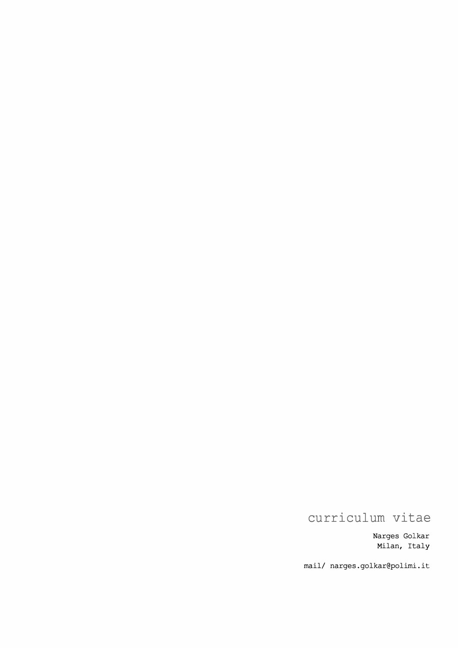Narges Golkar Milan, Italy

mail/ narges.golkar@polimi.it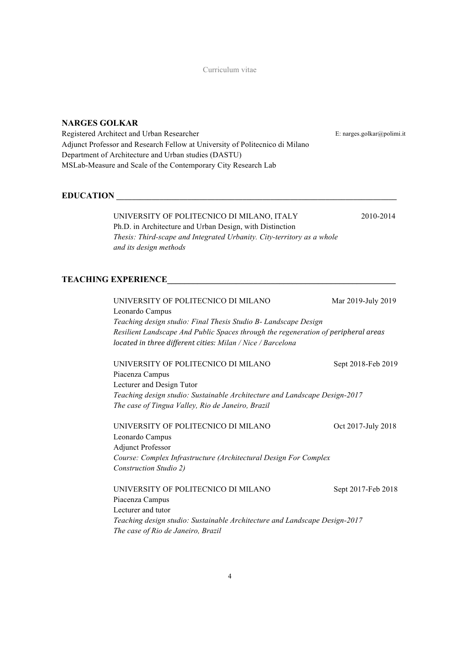# **NARGES GOLKAR**

Registered Architect and Urban Researcher Adjunct Professor and Research Fellow at University of Politecnico di Milano Department of Architecture and Urban studies (DASTU) MSLab-Measure and Scale of the Contemporary City Research Lab

# $EDUCATION$

# UNIVERSITY OF POLITECNICO DI MILANO, ITALY 2010-2014 Ph.D. in Architecture and Urban Design, with Distinction *Thesis: Third-scape and Integrated Urbanity. City-territory as a whole and its design methods*

E: narges.golkar@polimi.it

## **TEACHING EXPERIENCE**

| UNIVERSITY OF POLITECNICO DI MILANO                                                | Mar 2019-July 2019 |  |  |
|------------------------------------------------------------------------------------|--------------------|--|--|
| Leonardo Campus                                                                    |                    |  |  |
| Teaching design studio: Final Thesis Studio B- Landscape Design                    |                    |  |  |
| Resilient Landscape And Public Spaces through the regeneration of peripheral areas |                    |  |  |
| located in three different cities: Milan / Nice / Barcelona                        |                    |  |  |
| UNIVERSITY OF POLITECNICO DI MILANO                                                | Sept 2018-Feb 2019 |  |  |
| Piacenza Campus                                                                    |                    |  |  |
| Lecturer and Design Tutor                                                          |                    |  |  |
| Teaching design studio: Sustainable Architecture and Landscape Design-2017         |                    |  |  |
| The case of Tingua Valley, Rio de Janeiro, Brazil                                  |                    |  |  |
| UNIVERSITY OF POLITECNICO DI MILANO                                                | Oct 2017-July 2018 |  |  |
| Leonardo Campus                                                                    |                    |  |  |
| <b>Adjunct Professor</b>                                                           |                    |  |  |
| Course: Complex Infrastructure (Architectural Design For Complex                   |                    |  |  |
| Construction Studio 2)                                                             |                    |  |  |
| UNIVERSITY OF POLITECNICO DI MILANO                                                | Sept 2017-Feb 2018 |  |  |
| Piacenza Campus                                                                    |                    |  |  |
| Lecturer and tutor                                                                 |                    |  |  |
| Teaching design studio: Sustainable Architecture and Landscape Design-2017         |                    |  |  |
| The case of Rio de Janeiro, Brazil                                                 |                    |  |  |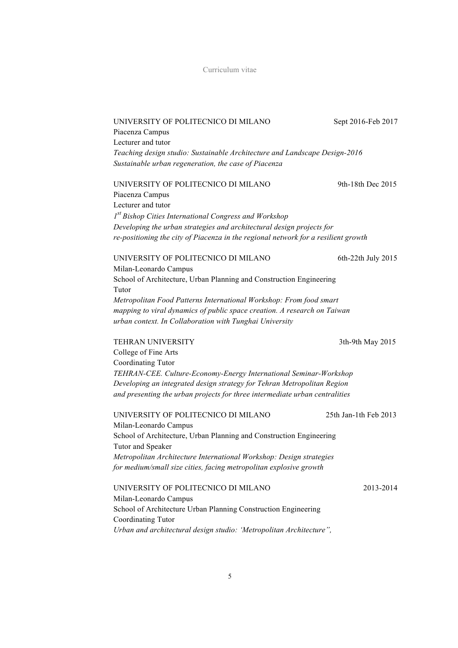| UNIVERSITY OF POLITECNICO DI MILANO                                                       | Sept 2016-Feb 2017    |
|-------------------------------------------------------------------------------------------|-----------------------|
| Piacenza Campus                                                                           |                       |
| Lecturer and tutor                                                                        |                       |
| Teaching design studio: Sustainable Architecture and Landscape Design-2016                |                       |
| Sustainable urban regeneration, the case of Piacenza                                      |                       |
| UNIVERSITY OF POLITECNICO DI MILANO                                                       | 9th-18th Dec 2015     |
| Piacenza Campus                                                                           |                       |
| Lecturer and tutor                                                                        |                       |
| 1 <sup>st</sup> Bishop Cities International Congress and Workshop                         |                       |
| Developing the urban strategies and architectural design projects for                     |                       |
| re-positioning the city of Piacenza in the regional network for a resilient growth        |                       |
| UNIVERSITY OF POLITECNICO DI MILANO                                                       | 6th-22th July 2015    |
| Milan-Leonardo Campus                                                                     |                       |
| School of Architecture, Urban Planning and Construction Engineering<br>Tutor              |                       |
| Metropolitan Food Patterns International Workshop: From food smart                        |                       |
| mapping to viral dynamics of public space creation. A research on Taiwan                  |                       |
| urban context. In Collaboration with Tunghai University                                   |                       |
|                                                                                           |                       |
| <b>TEHRAN UNIVERSITY</b>                                                                  | 3th-9th May 2015      |
| College of Fine Arts                                                                      |                       |
| Coordinating Tutor                                                                        |                       |
| TEHRAN-CEE. Culture-Economy-Energy International Seminar-Workshop                         |                       |
| Developing an integrated design strategy for Tehran Metropolitan Region                   |                       |
|                                                                                           |                       |
| and presenting the urban projects for three intermediate urban centralities               |                       |
| UNIVERSITY OF POLITECNICO DI MILANO                                                       | 25th Jan-1th Feb 2013 |
| Milan-Leonardo Campus                                                                     |                       |
| School of Architecture, Urban Planning and Construction Engineering                       |                       |
| Tutor and Speaker                                                                         |                       |
| Metropolitan Architecture International Workshop: Design strategies                       |                       |
| for medium/small size cities, facing metropolitan explosive growth                        |                       |
| UNIVERSITY OF POLITECNICO DI MILANO                                                       | 2013-2014             |
| Milan-Leonardo Campus                                                                     |                       |
| School of Architecture Urban Planning Construction Engineering                            |                       |
| Coordinating Tutor<br>Urban and architectural design studio: 'Metropolitan Architecture", |                       |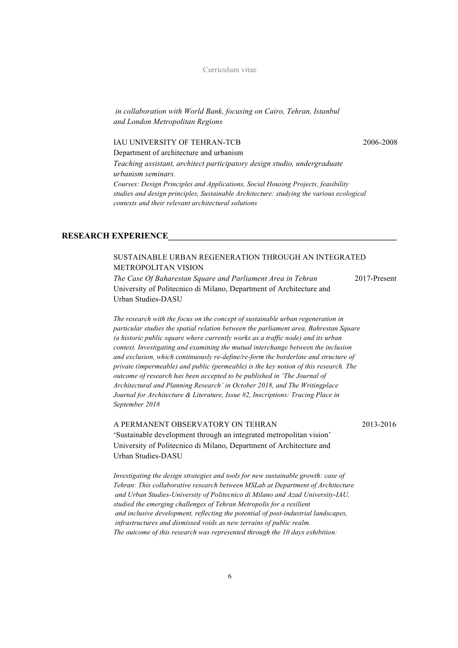*in collaboration with World Bank, focusing on Cairo, Tehran, Istanbul and London Metropolitan Regions*

#### IAU UNIVERSITY OF TEHRAN-TCB 2006-2008

Department of architecture and urbanism

*Teaching assistant, architect participatory design studio, undergraduate urbanism seminars.*

*Courses: Design Principles and Applications, Social Housing Projects, feasibility studies and design principles, Sustainable Architecture: studying the various ecological contexts and their relevant architectural solutions*

#### **RESEARCH EXPERIENCE\_\_\_\_\_\_\_\_\_\_\_\_\_\_\_\_\_\_\_\_\_\_\_\_\_\_\_\_\_\_\_\_\_\_\_\_\_\_\_\_\_\_\_\_\_\_\_\_\_\_\_\_\_**

### SUSTAINABLE URBAN REGENERATION THROUGH AN INTEGRATED METROPOLITAN VISION

*The Case Of Baharestan Square and Parliament Area in Tehran* 2017-Present University of Politecnico di Milano, Department of Architecture and Urban Studies-DASU

*The research with the focus on the concept of sustainable urban regeneration in particular studies the spatial relation between the parliament area, Bahrestan Square (a historic public square where currently works as a traffic node) and its urban context. Investigating and examining the mutual interchange between the inclusion and exclusion, which continuously re-define/re-form the borderline and structure of private (impermeable) and public (permeable) is the key notion of this research. The outcome of research has been accepted to be published in 'The Journal of Architectural and Planning Research' in October 2018, and The Writingplace Journal for Architecture & Literature, Issue #2, Inscriptions: Tracing Place in September 2018*

#### A PERMANENT OBSERVATORY ON TEHRAN 2013-2016

'Sustainable development through an integrated metropolitan vision' University of Politecnico di Milano, Department of Architecture and Urban Studies-DASU

*Investigating the design strategies and tools for new sustainable growth: case of Tehran: This collaborative research between MSLab at Department of Architecture and Urban Studies-University of Politecnico di Milano and Azad University-IAU, studied the emerging challenges of Tehran Metropolis for a resilient and inclusive development, reflecting the potential of post-industrial landscapes, infrastructures and dismissed voids as new terrains of public realm. The outcome of this research was represented through the 10 days exhibition:*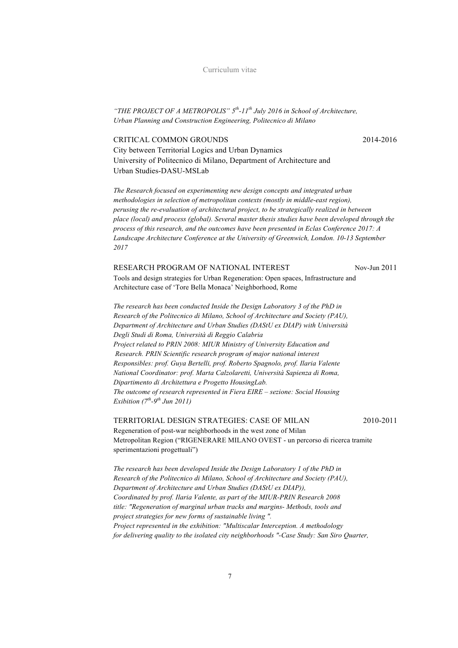*"THE PROJECT OF A METROPOLIS" 5th-11th July 2016 in School of Architecture, Urban Planning and Construction Engineering, Politecnico di Milano*

### CRITICAL COMMON GROUNDS2014-2016

City between Territorial Logics and Urban Dynamics University of Politecnico di Milano, Department of Architecture and Urban Studies-DASU-MSLab

*The Research focused on experimenting new design concepts and integrated urban methodologies in selection of metropolitan contexts (mostly in middle-east region), perusing the re-evaluation of architectural project, to be strategically realized in between place (local) and process (global). Several master thesis studies have been developed through the process of this research, and the outcomes have been presented in Eclas Conference 2017: A Landscape Architecture Conference at the University of Greenwich, London. 10-13 September 2017*

#### RESEARCH PROGRAM OF NATIONAL INTEREST Nov-Jun 2011

Tools and design strategies for Urban Regeneration: Open spaces, Infrastructure and Architecture case of 'Tore Bella Monaca' Neighborhood, Rome

*The research has been conducted Inside the Design Laboratory 3 of the PhD in Research of the Politecnico di Milano, School of Architecture and Society (PAU), Department of Architecture and Urban Studies (DAStU ex DIAP) with Università Degli Studi di Roma, Università di Reggio Calabria Project related to PRIN 2008: MIUR Ministry of University Education and Research. PRIN Scientific research program of major national interest Responsibles: prof. Guya Bertelli, prof. Roberto Spagnolo, prof. Ilaria Valente National Coordinator: prof. Marta Calzolaretti, Università Sapienza di Roma, Dipartimento di Architettura e Progetto HousingLab. The outcome of research represented in Fiera EIRE – sezione: Social Housing Exibition (7th-9th Jun 2011)*

TERRITORIAL DESIGN STRATEGIES: CASE OF MILAN2010-2011

Regeneration of post-war neighborhoods in the west zone of Milan Metropolitan Region ("RIGENERARE MILANO OVEST - un percorso di ricerca tramite sperimentazioni progettuali")

*The research has been developed Inside the Design Laboratory 1 of the PhD in Research of the Politecnico di Milano, School of Architecture and Society (PAU), Department of Architecture and Urban Studies (DAStU ex DIAP)), Coordinated by prof. Ilaria Valente, as part of the MIUR-PRIN Research 2008 title: "Regeneration of marginal urban tracks and margins- Methods, tools and project strategies for new forms of sustainable living ". Project represented in the exhibition: "Multiscalar Interception. A methodology for delivering quality to the isolated city neighborhoods "-Case Study: San Siro Quarter,*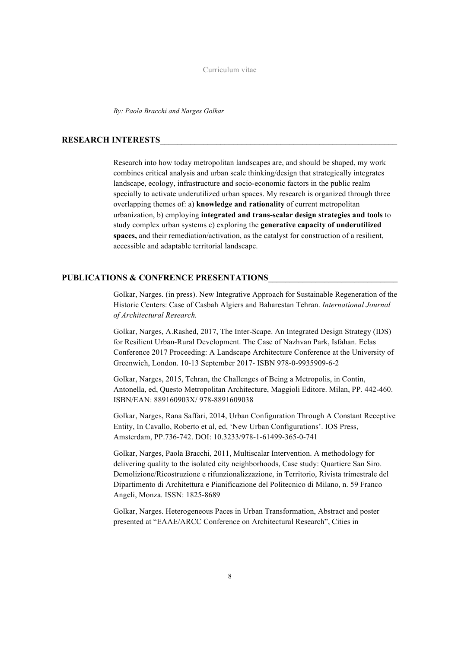*By: Paola Bracchi and Narges Golkar*

#### **RESEARCH INTERESTS**

Research into how today metropolitan landscapes are, and should be shaped, my work combines critical analysis and urban scale thinking/design that strategically integrates landscape, ecology, infrastructure and socio-economic factors in the public realm specially to activate underutilized urban spaces. My research is organized through three overlapping themes of: a) **knowledge and rationality** of current metropolitan urbanization, b) employing **integrated and trans-scalar design strategies and tools** to study complex urban systems c) exploring the **generative capacity of underutilized spaces,** and their remediation/activation, as the catalyst for construction of a resilient, accessible and adaptable territorial landscape.

#### PUBLICATIONS & CONFRENCE PRESENTATIONS

Golkar, Narges. (in press). New Integrative Approach for Sustainable Regeneration of the Historic Centers: Case of Casbah Algiers and Baharestan Tehran. *International Journal of Architectural Research.* 

Golkar, Narges, A.Rashed, 2017, The Inter-Scape. An Integrated Design Strategy (IDS) for Resilient Urban-Rural Development. The Case of Nazhvan Park, Isfahan. Eclas Conference 2017 Proceeding: A Landscape Architecture Conference at the University of Greenwich, London. 10-13 September 2017- ISBN 978-0-9935909-6-2

Golkar, Narges, 2015, Tehran, the Challenges of Being a Metropolis, in Contin, Antonella, ed, Questo Metropolitan Architecture, Maggioli Editore. Milan, PP. 442-460. ISBN/EAN: 889160903X/ 978-8891609038

Golkar, Narges, Rana Saffari, 2014, Urban Configuration Through A Constant Receptive Entity, In Cavallo, Roberto et al, ed, 'New Urban Configurations'. IOS Press, Amsterdam, PP.736-742. DOI: 10.3233/978-1-61499-365-0-741

Golkar, Narges, Paola Bracchi, 2011, Multiscalar Intervention. A methodology for delivering quality to the isolated city neighborhoods, Case study: Quartiere San Siro. Demolizione/Ricostruzione e rifunzionalizzazione, in Territorio, Rivista trimestrale del Dipartimento di Architettura e Pianificazione del Politecnico di Milano, n. 59 Franco Angeli, Monza. ISSN: 1825-8689

Golkar, Narges. Heterogeneous Paces in Urban Transformation, Abstract and poster presented at "EAAE/ARCC Conference on Architectural Research", Cities in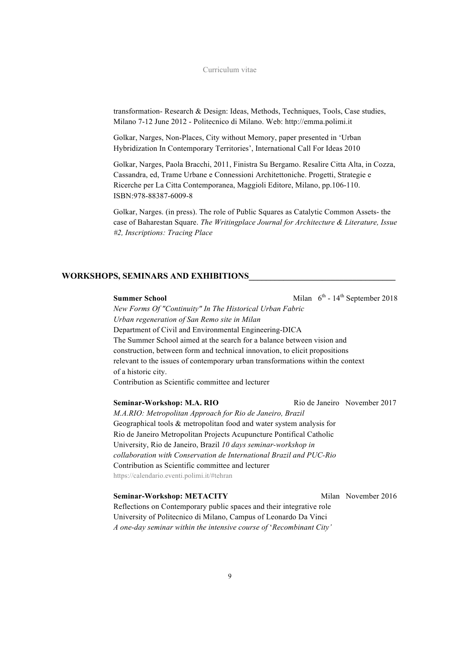transformation- Research & Design: Ideas, Methods, Techniques, Tools, Case studies, Milano 7-12 June 2012 - Politecnico di Milano. Web: http://emma.polimi.it

Golkar, Narges, Non-Places, City without Memory, paper presented in 'Urban Hybridization In Contemporary Territories', International Call For Ideas 2010

Golkar, Narges, Paola Bracchi, 2011, Finistra Su Bergamo. Resalire Citta Alta, in Cozza, Cassandra, ed, Trame Urbane e Connessioni Architettoniche. Progetti, Strategie e Ricerche per La Citta Contemporanea, Maggioli Editore, Milano, pp.106-110. ISBN:978-88387-6009-8

Golkar, Narges. (in press). The role of Public Squares as Catalytic Common Assets- the case of Baharestan Square. *The Writingplace Journal for Architecture & Literature, Issue #2, Inscriptions: Tracing Place*

#### **WORKSHOPS, SEMINARS AND EXHIBITIONS\_\_\_\_\_\_\_\_\_\_\_\_\_\_\_\_\_\_\_\_\_\_\_\_\_\_\_\_\_\_\_\_\_\_**

**Summer School** Milan 6<sup>th</sup> - 14<sup>th</sup> September 2018

*New Forms Of "Continuity" In The Historical Urban Fabric Urban regeneration of San Remo site in Milan* Department of Civil and Environmental Engineering-DICA The Summer School aimed at the search for a balance between vision and construction, between form and technical innovation, to elicit propositions relevant to the issues of contemporary urban transformations within the context of a historic city.

Contribution as Scientific committee and lecturer

**Seminar-Workshop: M.A. RIO Rio de Janeiro** November 2017 *M.A.RIO: Metropolitan Approach for Rio de Janeiro, Brazil* Geographical tools & metropolitan food and water system analysis for Rio de Janeiro Metropolitan Projects Acupuncture Pontifical Catholic University, Rio de Janeiro, Brazil *10 days seminar-workshop in collaboration with Conservation de International Brazil and PUC-Rio* Contribution as Scientific committee and lecturer https://calendario.eventi.polimi.it/#tehran

#### **Seminar-Workshop: METACITY** Milan November 2016

Reflections on Contemporary public spaces and their integrative role University of Politecnico di Milano, Campus of Leonardo Da Vinci *A one-day seminar within the intensive course of* '*Recombinant City'*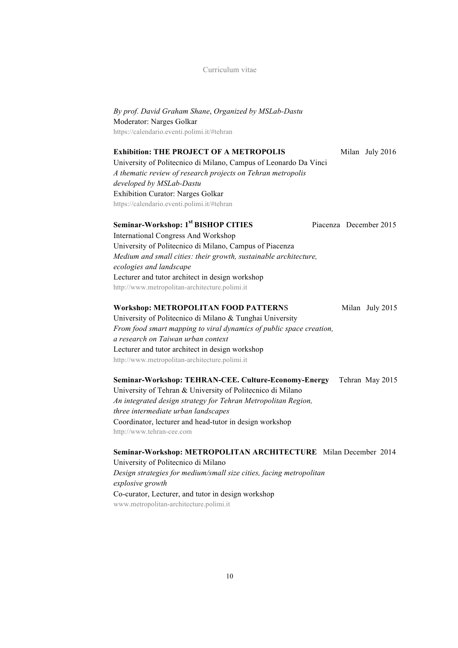*By prof. David Graham Shane*, *Organized by MSLab-Dastu* Moderator: Narges Golkar https://calendario.eventi.polimi.it/#tehran

#### **Exhibition: THE PROJECT OF A METROPOLIS** Milan July 2016

University of Politecnico di Milano, Campus of Leonardo Da Vinci *A thematic review of research projects on Tehran metropolis developed by MSLab-Dastu* Exhibition Curator: Narges Golkar https://calendario.eventi.polimi.it/#tehran

# **Seminar-Workshop: 1st BISHOP CITIES** Piacenza December 2015

International Congress And Workshop University of Politecnico di Milano, Campus of Piacenza *Medium and small cities: their growth, sustainable architecture, ecologies and landscape* Lecturer and tutor architect in design workshop http://www.metropolitan-architecture.polimi.it

#### **Workshop: METROPOLITAN FOOD PATTERNS** Milan July 2015

University of Politecnico di Milano & Tunghai University *From food smart mapping to viral dynamics of public space creation, a research on Taiwan urban context*  Lecturer and tutor architect in design workshop http://www.metropolitan-architecture.polimi.it

**Seminar-Workshop: TEHRAN-CEE. Culture-Economy-Energy** Tehran May 2015 University of Tehran & University of Politecnico di Milano *An integrated design strategy for Tehran Metropolitan Region, three intermediate urban landscapes* Coordinator, lecturer and head-tutor in design workshop http://www.tehran-cee.com

**Seminar-Workshop: METROPOLITAN ARCHITECTURE** Milan December 2014 University of Politecnico di Milano *Design strategies for medium/small size cities, facing metropolitan explosive growth* Co-curator, Lecturer, and tutor in design workshop www.metropolitan-architecture.polimi.it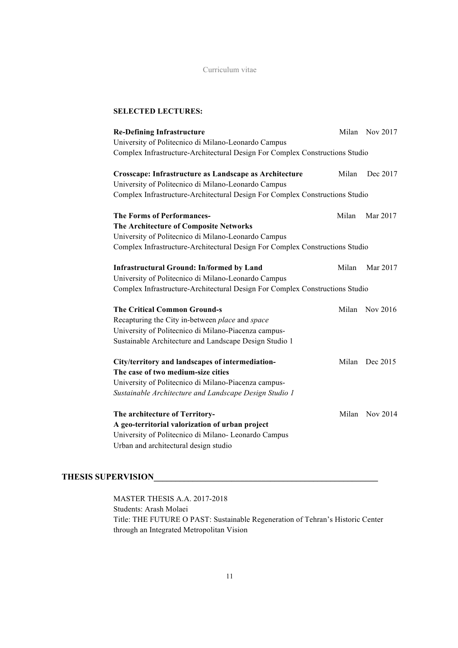#### **SELECTED LECTURES:**

| <b>Re-Defining Infrastructure</b>                                            |       | Milan Nov 2017 |
|------------------------------------------------------------------------------|-------|----------------|
| University of Politecnico di Milano-Leonardo Campus                          |       |                |
| Complex Infrastructure-Architectural Design For Complex Constructions Studio |       |                |
| Crosscape: Infrastructure as Landscape as Architecture                       | Milan | Dec 2017       |
| University of Politecnico di Milano-Leonardo Campus                          |       |                |
| Complex Infrastructure-Architectural Design For Complex Constructions Studio |       |                |
| <b>The Forms of Performances-</b>                                            | Milan | Mar 2017       |
| The Architecture of Composite Networks                                       |       |                |
| University of Politecnico di Milano-Leonardo Campus                          |       |                |
| Complex Infrastructure-Architectural Design For Complex Constructions Studio |       |                |
|                                                                              |       |                |
| <b>Infrastructural Ground: In/formed by Land</b>                             | Milan | Mar 2017       |
| University of Politecnico di Milano-Leonardo Campus                          |       |                |
| Complex Infrastructure-Architectural Design For Complex Constructions Studio |       |                |
|                                                                              |       |                |
| <b>The Critical Common Ground-s</b>                                          | Milan | Nov 2016       |
| Recapturing the City in-between place and space                              |       |                |
| University of Politecnico di Milano-Piacenza campus-                         |       |                |
| Sustainable Architecture and Landscape Design Studio 1                       |       |                |
| City/territory and landscapes of intermediation-                             | Milan | Dec 2015       |
| The case of two medium-size cities                                           |       |                |
| University of Politecnico di Milano-Piacenza campus-                         |       |                |
| Sustainable Architecture and Landscape Design Studio 1                       |       |                |
| The architecture of Territory-                                               | Milan | Nov 2014       |
| A geo-territorial valorization of urban project                              |       |                |
| University of Politecnico di Milano- Leonardo Campus                         |       |                |
| Urban and architectural design studio                                        |       |                |
|                                                                              |       |                |

# **THESIS SUPERVISION\_\_\_\_\_\_\_\_\_\_\_\_\_\_\_\_\_\_\_\_\_\_\_\_\_\_\_\_\_\_\_\_\_\_\_\_\_\_\_\_\_\_\_\_\_\_\_\_\_\_\_\_**

MASTER THESIS A.A. 2017-2018 Students: Arash Molaei Title: THE FUTURE O PAST: Sustainable Regeneration of Tehran's Historic Center through an Integrated Metropolitan Vision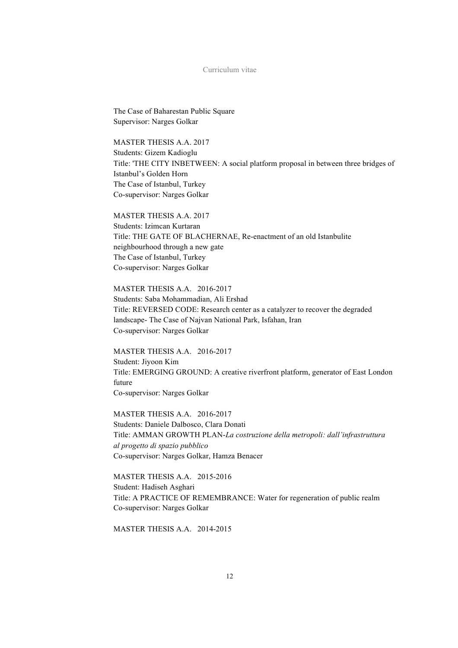The Case of Baharestan Public Square Supervisor: Narges Golkar

MASTER THESIS A A 2017 Students: Gizem Kadioglu Title: 'THE CITY INBETWEEN: A social platform proposal in between three bridges of Istanbul's Golden Horn The Case of Istanbul, Turkey Co-supervisor: Narges Golkar

MASTER THESIS A.A. 2017 Students: Izimcan Kurtaran Title: THE GATE OF BLACHERNAE, Re-enactment of an old Istanbulite neighbourhood through a new gate The Case of Istanbul, Turkey Co-supervisor: Narges Golkar

MASTER THESIS A.A. 2016-2017 Students: Saba Mohammadian, Ali Ershad Title: REVERSED CODE: Research center as a catalyzer to recover the degraded landscape- The Case of Najvan National Park, Isfahan, Iran Co-supervisor: Narges Golkar

MASTER THESIS A.A. 2016-2017 Student: Jiyoon Kim Title: EMERGING GROUND: A creative riverfront platform, generator of East London future Co-supervisor: Narges Golkar

MASTER THESIS A.A. 2016-2017 Students: Daniele Dalbosco, Clara Donati Title: AMMAN GROWTH PLAN-*La costruzione della metropoli: dall'infrastruttura al progetto di spazio pubblico* Co-supervisor: Narges Golkar, Hamza Benacer

MASTER THESIS A.A. 2015-2016 Student: Hadiseh Asghari Title: A PRACTICE OF REMEMBRANCE: Water for regeneration of public realm Co-supervisor: Narges Golkar

MASTER THESIS A.A. 2014-2015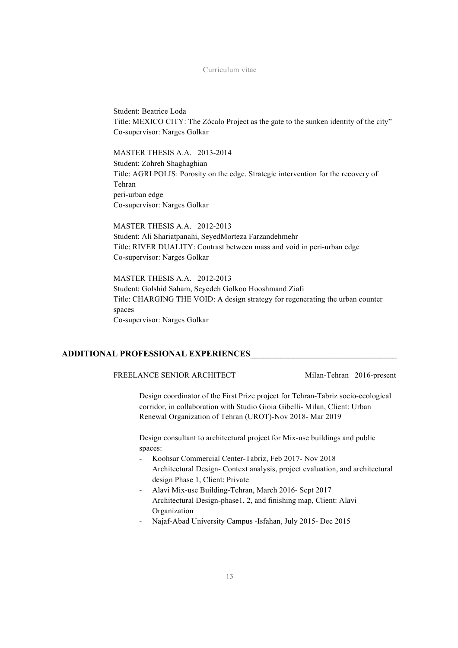Student: Beatrice Loda Title: MEXICO CITY: The Zócalo Project as the gate to the sunken identity of the city" Co-supervisor: Narges Golkar

#### MASTER THESIS A.A. 2013-2014

Student: Zohreh Shaghaghian Title: AGRI POLIS: Porosity on the edge. Strategic intervention for the recovery of Tehran peri-urban edge Co-supervisor: Narges Golkar

MASTER THESIS A.A. 2012-2013 Student: Ali Shariatpanahi, SeyedMorteza Farzandehmehr Title: RIVER DUALITY: Contrast between mass and void in peri-urban edge Co-supervisor: Narges Golkar

MASTER THESIS A.A. 2012-2013 Student: Golshid Saham, Seyedeh Golkoo Hooshmand Ziafi Title: CHARGING THE VOID: A design strategy for regenerating the urban counter spaces Co-supervisor: Narges Golkar

#### **ADDITIONAL PROFESSIONAL EXPERIENCES\_\_\_\_\_\_\_\_\_\_\_\_\_\_\_\_\_\_\_\_\_\_\_\_\_\_\_\_\_\_\_\_\_\_**

FREELANCE SENIOR ARCHITECT Milan-Tehran 2016-present

Design coordinator of the First Prize project for Tehran-Tabriz socio-ecological corridor, in collaboration with Studio Gioia Gibelli- Milan, Client: Urban Renewal Organization of Tehran (UROT)-Nov 2018- Mar 2019

Design consultant to architectural project for Mix-use buildings and public spaces:

- Koohsar Commercial Center-Tabriz, Feb 2017- Nov 2018 Architectural Design- Context analysis, project evaluation, and architectural design Phase 1, Client: Private
- Alavi Mix-use Building-Tehran, March 2016- Sept 2017 Architectural Design-phase1, 2, and finishing map, Client: Alavi Organization
- Najaf-Abad University Campus -Isfahan, July 2015- Dec 2015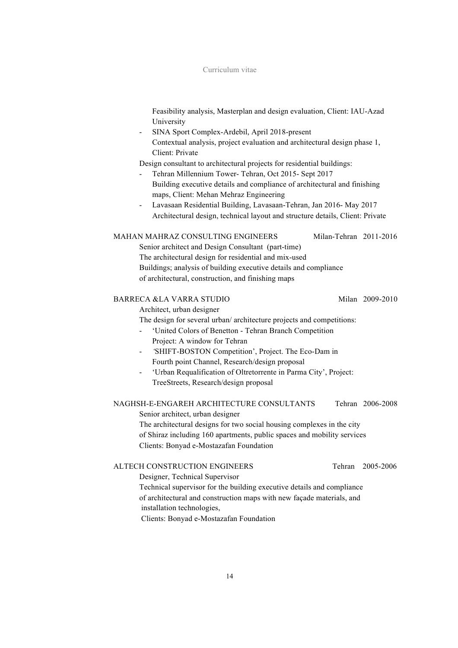Feasibility analysis, Masterplan and design evaluation, Client: IAU-Azad University

- SINA Sport Complex-Ardebil, April 2018-present Contextual analysis, project evaluation and architectural design phase 1, Client: Private

Design consultant to architectural projects for residential buildings:

- Tehran Millennium Tower- Tehran, Oct 2015- Sept 2017 Building executive details and compliance of architectural and finishing maps, Client: Mehan Mehraz Engineering
- Lavasaan Residential Building, Lavasaan-Tehran, Jan 2016- May 2017 Architectural design, technical layout and structure details, Client: Private

#### MAHAN MAHRAZ CONSULTING ENGINEERS Milan-Tehran 2011-2016

Senior architect and Design Consultant (part-time) The architectural design for residential and mix-used Buildings; analysis of building executive details and compliance of architectural, construction, and finishing maps

#### BARRECA &LA VARRA STUDIO Milan 2009-2010

Architect, urban designer

The design for several urban/ architecture projects and competitions:

- 'United Colors of Benetton Tehran Branch Competition Project: A window for Tehran
- *'*SHIFT-BOSTON Competition', Project. The Eco-Dam in Fourth point Channel, Research/design proposal
- 'Urban Requalification of Oltretorrente in Parma City', Project: TreeStreets, Research/design proposal

#### NAGHSH-E-ENGAREH ARCHITECTURE CONSULTANTS Tehran 2006-2008

Senior architect, urban designer

The architectural designs for two social housing complexes in the city of Shiraz including 160 apartments, public spaces and mobility services Clients: Bonyad e-Mostazafan Foundation

#### ALTECH CONSTRUCTION ENGINEERS Tehran 2005-2006

Designer, Technical Supervisor Technical supervisor for the building executive details and compliance of architectural and construction maps with new façade materials, and installation technologies,

Clients: Bonyad e-Mostazafan Foundation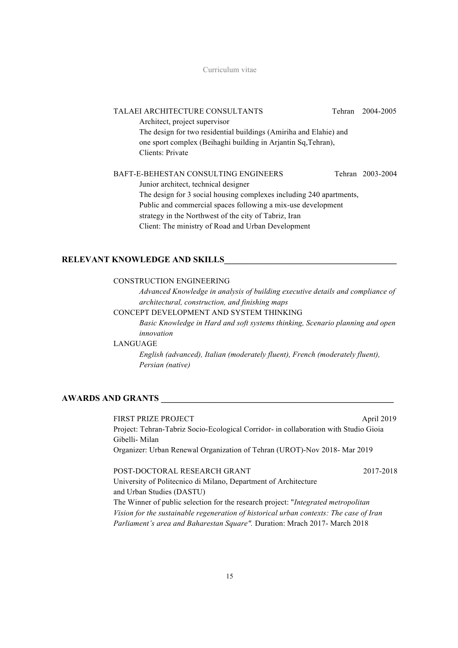| TALAEI ARCHITECTURE CONSULTANTS                                     | Tehran | 2004-2005        |
|---------------------------------------------------------------------|--------|------------------|
| Architect, project supervisor                                       |        |                  |
| The design for two residential buildings (Amiriha and Elahie) and   |        |                  |
| one sport complex (Beihaghi building in Arjantin Sq, Tehran),       |        |                  |
| Clients: Private                                                    |        |                  |
|                                                                     |        |                  |
| BAFT-E-BEHESTAN CONSULTING ENGINEERS                                |        | Tehran 2003-2004 |
| Junior architect, technical designer                                |        |                  |
| The design for 3 social housing complexes including 240 apartments, |        |                  |
| Public and commercial spaces following a mix-use development        |        |                  |
| strategy in the Northwest of the city of Tabriz, Iran               |        |                  |
| Client: The ministry of Road and Urban Development                  |        |                  |
|                                                                     |        |                  |

#### **RELEVANT KNOWLEDGE AND SKILLS\_\_\_\_\_\_\_\_\_\_\_\_\_\_\_\_\_\_\_\_\_\_\_\_\_\_\_\_\_\_\_\_\_\_\_\_\_\_\_\_**

#### CONSTRUCTION ENGINEERING

*Advanced Knowledge in analysis of building executive details and compliance of architectural, construction, and finishing maps*

#### CONCEPT DEVELOPMENT AND SYSTEM THINKING

*Basic Knowledge in Hard and soft systems thinking, Scenario planning and open innovation*

#### LANGUAGE

*English (advanced), Italian (moderately fluent), French (moderately fluent), Persian (native)*

#### **AWARDS AND GRANTS \_\_\_\_\_\_\_\_\_\_\_\_\_\_\_\_\_\_\_\_\_\_\_\_\_\_\_\_\_\_\_\_\_\_\_\_\_\_\_\_\_\_\_\_\_\_\_\_\_\_\_\_\_\_**

FIRST PRIZE PROJECT April 2019 Project: Tehran-Tabriz Socio-Ecological Corridor- in collaboration with Studio Gioia Gibelli- Milan Organizer: Urban Renewal Organization of Tehran (UROT)-Nov 2018- Mar 2019

POST-DOCTORAL RESEARCH GRANT 2017-2018 University of Politecnico di Milano, Department of Architecture and Urban Studies (DASTU) The Winner of public selection for the research project: "*Integrated metropolitan Vision for the sustainable regeneration of historical urban contexts: The case of Iran Parliament's area and Baharestan Square".* Duration: Mrach 2017- March 2018